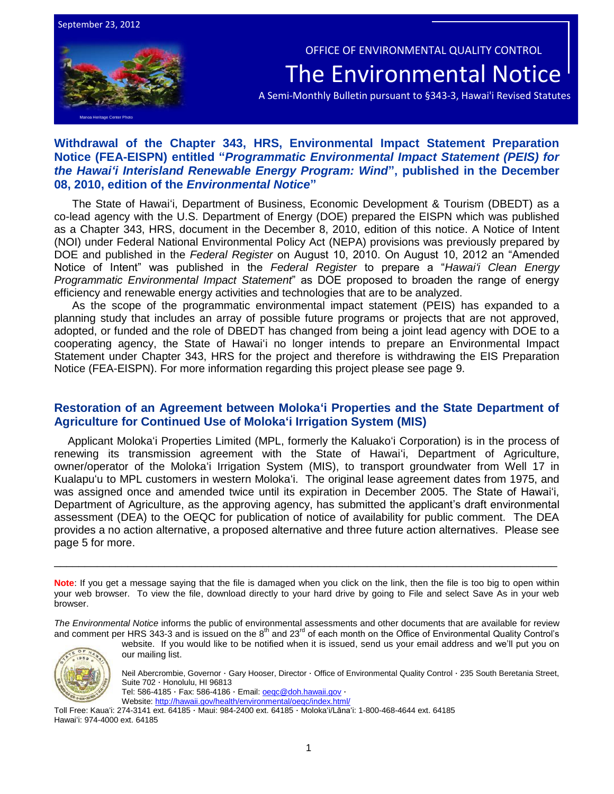September 23, 2012

Manoa Heritage Center Photo

 OFFICE OF ENVIRONMENTAL QUALITY CONTROL The Environmental Notice

A Semi-Monthly Bulletin pursuant to §343-3, Hawai'i Revised Statutes

## **Withdrawal of the Chapter 343, HRS, Environmental Impact Statement Preparation Notice (FEA-EISPN) entitled "***Programmatic Environmental Impact Statement (PEIS) for the Hawai'i Interisland Renewable Energy Program: Wind***", published in the December 08, 2010, edition of the** *Environmental Notice***"**

The State of Hawai'i, Department of Business, Economic Development & Tourism (DBEDT) as a co-lead agency with the U.S. Department of Energy (DOE) prepared the EISPN which was published as a Chapter 343, HRS, document in the December 8, 2010, edition of this notice. A Notice of Intent (NOI) under Federal National Environmental Policy Act (NEPA) provisions was previously prepared by DOE and published in the *Federal Register* on August 10, 2010. On August 10, 2012 an "Amended Notice of Intent" was published in the *Federal Register* to prepare a "*Hawai'i Clean Energy Programmatic Environmental Impact Statement*" as DOE proposed to broaden the range of energy efficiency and renewable energy activities and technologies that are to be analyzed.

As the scope of the programmatic environmental impact statement (PEIS) has expanded to a planning study that includes an array of possible future programs or projects that are not approved, adopted, or funded and the role of DBEDT has changed from being a joint lead agency with DOE to a cooperating agency, the State of Hawai'i no longer intends to prepare an Environmental Impact Statement under Chapter 343, HRS for the project and therefore is withdrawing the EIS Preparation Notice (FEA-EISPN). For more information regarding this project please see page 9.

## **Restoration of an Agreement between Moloka'i Properties and the State Department of Agriculture for Continued Use of Moloka'i Irrigation System (MIS)**

Applicant Moloka'i Properties Limited (MPL, formerly the Kaluako'i Corporation) is in the process of renewing its transmission agreement with the State of Hawai'i, Department of Agriculture, owner/operator of the Moloka'i Irrigation System (MIS), to transport groundwater from Well 17 in Kualapu'u to MPL customers in western Moloka'i. The original lease agreement dates from 1975, and was assigned once and amended twice until its expiration in December 2005. The State of Hawai'i, Department of Agriculture, as the approving agency, has submitted the applicant's draft environmental assessment (DEA) to the OEQC for publication of notice of availability for public comment. The DEA provides a no action alternative, a proposed alternative and three future action alternatives. Please see page 5 for more.

**Note**: If you get a message saying that the file is damaged when you click on the link, then the file is too big to open within your web browser. To view the file, download directly to your hard drive by going to File and select Save As in your web browser.

\_\_\_\_\_\_\_\_\_\_\_\_\_\_\_\_\_\_\_\_\_\_\_\_\_\_\_\_\_\_\_\_\_\_\_\_\_\_\_\_\_\_\_\_\_\_\_\_\_\_\_\_\_\_\_\_\_\_\_\_\_\_\_\_\_\_\_\_\_\_\_\_\_\_\_\_\_\_\_\_\_\_

*The Environmental Notice* informs the public of environmental assessments and other documents that are available for review and comment per HRS 343-3 and is issued on the 8<sup>th</sup> and 23<sup>rd</sup> of each month on the Office of Environmental Quality Control's



website. If you would like to be notified when it is issued, send us your email address and we'll put you on our mailing list.

Neil Abercrombie, Governor · Gary Hooser, Director · Office of Environmental Quality Control · 235 South Beretania Street, Suite 702 · Honolulu, HI 96813

Tel: 586-4185 · Fax: 586-4186 · Email[: oeqc@doh.hawaii.gov](mailto:oeqc@doh.hawaii.gov) ·

Website:<http://hawaii.gov/health/environmental/oeqc/index.html/>

Toll Free: Kaua'i: 274-3141 ext. 64185 · Maui: 984-2400 ext. 64185 · Moloka'i/Lāna'i: 1-800-468-4644 ext. 64185 Hawai'i: 974-4000 ext. 64185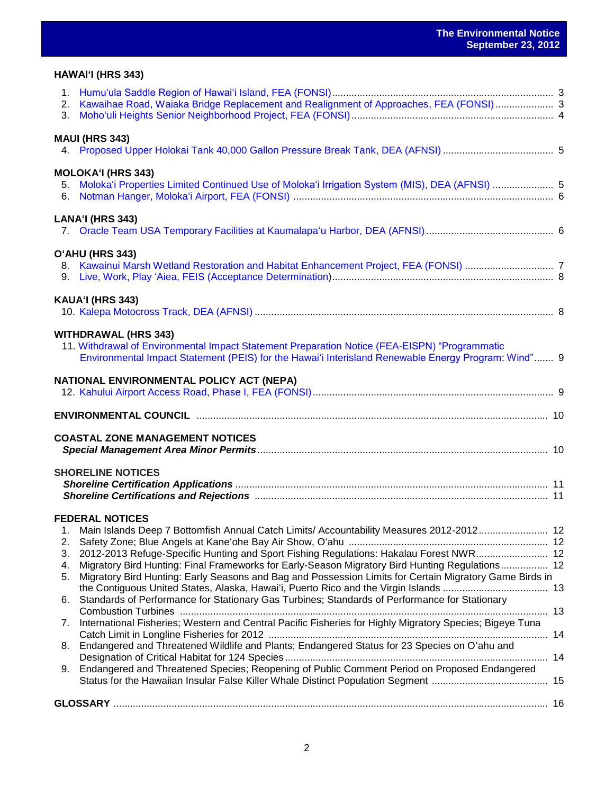## **HAWAI'I (HRS 343)**

| 3. | 2. Kawaihae Road, Waiaka Bridge Replacement and Realignment of Approaches, FEA (FONSI) 3                                                                                                             |  |
|----|------------------------------------------------------------------------------------------------------------------------------------------------------------------------------------------------------|--|
|    | <b>MAUI (HRS 343)</b>                                                                                                                                                                                |  |
|    |                                                                                                                                                                                                      |  |
|    | <b>MOLOKA'I (HRS 343)</b>                                                                                                                                                                            |  |
| 6. | 5. Moloka'i Properties Limited Continued Use of Moloka'i Irrigation System (MIS), DEA (AFNSI)  5                                                                                                     |  |
|    | LANA'I (HRS 343)                                                                                                                                                                                     |  |
|    | O'AHU (HRS 343)                                                                                                                                                                                      |  |
|    |                                                                                                                                                                                                      |  |
|    | KAUA'I (HRS 343)                                                                                                                                                                                     |  |
|    | <b>WITHDRAWAL (HRS 343)</b>                                                                                                                                                                          |  |
|    | 11. Withdrawal of Environmental Impact Statement Preparation Notice (FEA-EISPN) "Programmatic<br>Environmental Impact Statement (PEIS) for the Hawai'i Interisland Renewable Energy Program: Wind" 9 |  |
|    | NATIONAL ENVIRONMENTAL POLICY ACT (NEPA)                                                                                                                                                             |  |
|    |                                                                                                                                                                                                      |  |
|    | <b>COASTAL ZONE MANAGEMENT NOTICES</b>                                                                                                                                                               |  |
|    | <b>SHORELINE NOTICES</b>                                                                                                                                                                             |  |
|    |                                                                                                                                                                                                      |  |
|    | <b>FEDERAL NOTICES</b>                                                                                                                                                                               |  |
| 2. | 1. Main Islands Deep 7 Bottomfish Annual Catch Limits/ Accountability Measures 2012-2012 12                                                                                                          |  |
| 3. | 2012-2013 Refuge-Specific Hunting and Sport Fishing Regulations: Hakalau Forest NWR 12                                                                                                               |  |
| 4. | Migratory Bird Hunting: Final Frameworks for Early-Season Migratory Bird Hunting Regulations 12                                                                                                      |  |
| 5. | Migratory Bird Hunting: Early Seasons and Bag and Possession Limits for Certain Migratory Game Birds in                                                                                              |  |
| 6. | Standards of Performance for Stationary Gas Turbines; Standards of Performance for Stationary                                                                                                        |  |
| 7. | International Fisheries; Western and Central Pacific Fisheries for Highly Migratory Species; Bigeye Tuna                                                                                             |  |
| 8. | Endangered and Threatened Wildlife and Plants; Endangered Status for 23 Species on O'ahu and                                                                                                         |  |
| 9. | Endangered and Threatened Species; Reopening of Public Comment Period on Proposed Endangered                                                                                                         |  |
|    |                                                                                                                                                                                                      |  |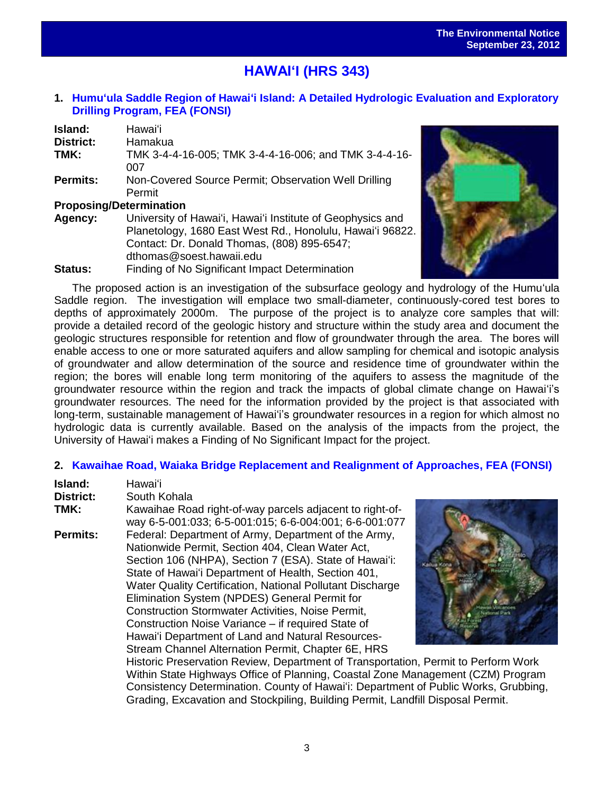# i<br>. **HAWAI'I (HRS 343)**

## **1. [Humu'ula Saddle Region of Hawai'i Island: A Detailed Hydrologic Evaluation and Exploratory](http://oeqc.doh.hawaii.gov/Shared%20Documents/EA_and_EIS_Online_Library/Hawaii/2010s/2012-09-23-FEA-Humuula-Saddle-Region-Hawaii.pdf)  [Drilling Program,](http://oeqc.doh.hawaii.gov/Shared%20Documents/EA_and_EIS_Online_Library/Hawaii/2010s/2012-09-23-FEA-Humuula-Saddle-Region-Hawaii.pdf) FEA (FONSI)**

| Island:                        | Hawaiʻi                                                    |
|--------------------------------|------------------------------------------------------------|
| District:                      | Hamakua                                                    |
| TMK:                           | TMK 3-4-4-16-005; TMK 3-4-4-16-006; and TMK 3-4-4-16-      |
|                                | 007                                                        |
| <b>Permits:</b>                | Non-Covered Source Permit; Observation Well Drilling       |
|                                | Permit                                                     |
| <b>Proposing/Determination</b> |                                                            |
| Agency:                        | University of Hawai'i, Hawai'i Institute of Geophysics and |
|                                | Planetology, 1680 East West Rd., Honolulu, Hawai'i 96822.  |
|                                | Contact: Dr. Donald Thomas, (808) 895-6547;                |
|                                | dthomas@soest.hawaii.edu                                   |

**Status:** Finding of No Significant Impact Determination



The proposed action is an investigation of the subsurface geology and hydrology of the Humu'ula Saddle region. The investigation will emplace two small-diameter, continuously-cored test bores to depths of approximately 2000m. The purpose of the project is to analyze core samples that will: provide a detailed record of the geologic history and structure within the study area and document the geologic structures responsible for retention and flow of groundwater through the area. The bores will enable access to one or more saturated aquifers and allow sampling for chemical and isotopic analysis of groundwater and allow determination of the source and residence time of groundwater within the region; the bores will enable long term monitoring of the aquifers to assess the magnitude of the groundwater resource within the region and track the impacts of global climate change on Hawai'i's groundwater resources. The need for the information provided by the project is that associated with long-term, sustainable management of Hawai'i's groundwater resources in a region for which almost no hydrologic data is currently available. Based on the analysis of the impacts from the project, the University of Hawai'i makes a Finding of No Significant Impact for the project.

## **2. [Kawaihae Road, Waiaka Bridge Replacement and Realignment of Approaches, FEA \(FONSI\)](http://oeqc.doh.hawaii.gov/Shared%20Documents/EA_and_EIS_Online_Library/Hawaii/2010s/2012-09-23-FEA-Kawaihae-Road-Waiaka-Bridge-Replacement-Realignment.pdf)**

| Island:          | Hawai'i                                                                                                                                                                                                                                                                                                                                                                                                                                                                                                                                                                                                                                |  |
|------------------|----------------------------------------------------------------------------------------------------------------------------------------------------------------------------------------------------------------------------------------------------------------------------------------------------------------------------------------------------------------------------------------------------------------------------------------------------------------------------------------------------------------------------------------------------------------------------------------------------------------------------------------|--|
| <b>District:</b> | South Kohala                                                                                                                                                                                                                                                                                                                                                                                                                                                                                                                                                                                                                           |  |
| TMK:             | Kawaihae Road right-of-way parcels adjacent to right-of-<br>way 6-5-001:033; 6-5-001:015; 6-6-004:001; 6-6-001:077                                                                                                                                                                                                                                                                                                                                                                                                                                                                                                                     |  |
| <b>Permits:</b>  | Federal: Department of Army, Department of the Army,<br>Nationwide Permit, Section 404, Clean Water Act,<br>Section 106 (NHPA), Section 7 (ESA). State of Hawai'i:<br>State of Hawai'i Department of Health, Section 401,<br>Water Quality Certification, National Pollutant Discharge<br>Elimination System (NPDES) General Permit for<br><b>Construction Stormwater Activities, Noise Permit,</b><br>Construction Noise Variance – if required State of<br>Hawai'i Department of Land and Natural Resources-<br>Stream Channel Alternation Permit, Chapter 6E, HRS<br>Historic Preservation Review, Department of Transportation, Pe |  |
|                  | Within State Highways Office of Planning, Coastal Zone Manage                                                                                                                                                                                                                                                                                                                                                                                                                                                                                                                                                                          |  |



rmit to Perform Work ement (CZM) Program Consistency Determination. County of Hawai'i: Department of Public Works, Grubbing, Grading, Excavation and Stockpiling, Building Permit, Landfill Disposal Permit.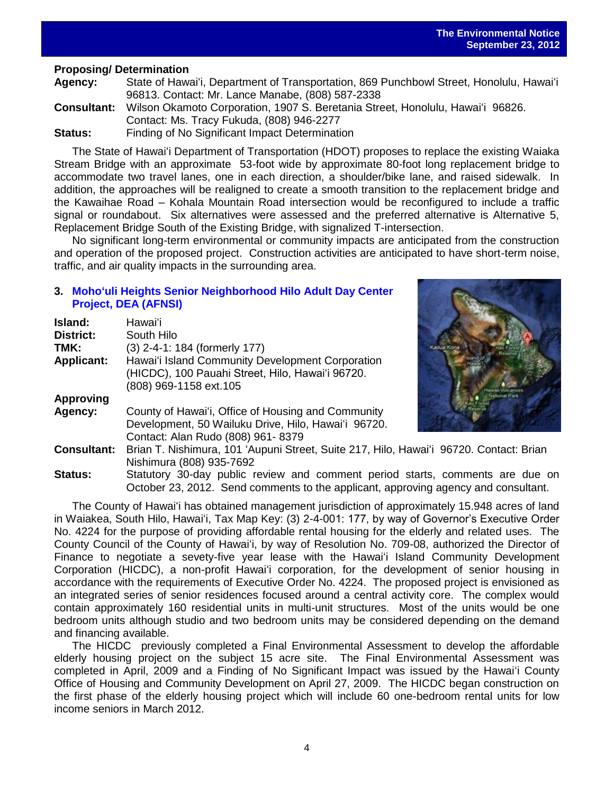## **Proposing/ Determination**

**Agency:** State of Hawai'i, Department of Transportation, 869 Punchbowl Street, Honolulu, Hawai'i 96813. Contact: Mr. Lance Manabe, (808) 587-2338 **Consultant:** Wilson Okamoto Corporation, 1907 S. Beretania Street, Honolulu, Hawai'i 96826. Contact: Ms. Tracy Fukuda, (808) 946-2277

**Status:** Finding of No Significant Impact Determination

The State of Hawai'i Department of Transportation (HDOT) proposes to replace the existing Waiaka Stream Bridge with an approximate 53-foot wide by approximate 80-foot long replacement bridge to accommodate two travel lanes, one in each direction, a shoulder/bike lane, and raised sidewalk. In addition, the approaches will be realigned to create a smooth transition to the replacement bridge and the Kawaihae Road – Kohala Mountain Road intersection would be reconfigured to include a traffic signal or roundabout. Six alternatives were assessed and the preferred alternative is Alternative 5, Replacement Bridge South of the Existing Bridge, with signalized T-intersection.

No significant long-term environmental or community impacts are anticipated from the construction and operation of the proposed project. Construction activities are anticipated to have short-term noise, traffic, and air quality impacts in the surrounding area.

## **3. [Moho'uli Heights Senior Neighborhood Hilo Adult Day Center](http://oeqc.doh.hawaii.gov/Shared%20Documents/EA_and_EIS_Online_Library/Hawaii/2010s/2012-09-23-DEA-Mohouli-Heights-Senior-Neighborhood-Project.pdf)  Project, [DEA \(AFNSI\)](http://oeqc.doh.hawaii.gov/Shared%20Documents/EA_and_EIS_Online_Library/Hawaii/2010s/2012-09-23-DEA-Mohouli-Heights-Senior-Neighborhood-Project.pdf)**

| Island:            | Hawaiʻi                                                                                                                        |
|--------------------|--------------------------------------------------------------------------------------------------------------------------------|
| District:          | South Hilo                                                                                                                     |
| TMK:               | (3) 2-4-1: 184 (formerly 177)                                                                                                  |
| <b>Applicant:</b>  | Hawai'i Island Community Development Corporation<br>(HICDC), 100 Pauahi Street, Hilo, Hawai'i 96720.<br>(808) 969-1158 ext.105 |
| <b>Approving</b>   |                                                                                                                                |
| Agency:            | County of Hawai'i, Office of Housing and Community<br>Development, 50 Wailuku Drive, Hilo, Hawai'i 96720.                      |
|                    | Contact: Alan Rudo (808) 961-8379                                                                                              |
| <b>Consultant:</b> | Brian T. Nishimura, 101 'Aupuni Street, Suite 217, Hilo, Hawai'i 96720. Contact: Brian<br>Nishimura (808) 935-7692             |
| Status:            | Statutory 30-day public review and comment period starts, comments are due of                                                  |



arts, comments are due on October 23, 2012. Send comments to the applicant, approving agency and consultant.

The County of Hawai'i has obtained management jurisdiction of approximately 15.948 acres of land in Waiakea, South Hilo, Hawai'i, Tax Map Key: (3) 2-4-001: 177, by way of Governor's Executive Order No. 4224 for the purpose of providing affordable rental housing for the elderly and related uses. The County Council of the County of Hawai'i, by way of Resolution No. 709-08, authorized the Director of Finance to negotiate a sevety-five year lease with the Hawai'i Island Community Development Corporation (HICDC), a non-profit Hawai'i corporation, for the development of senior housing in accordance with the requirements of Executive Order No. 4224. The proposed project is envisioned as an integrated series of senior residences focused around a central activity core. The complex would contain approximately 160 residential units in multi-unit structures. Most of the units would be one bedroom units although studio and two bedroom units may be considered depending on the demand and financing available.

The HICDC previously completed a Final Environmental Assessment to develop the affordable elderly housing project on the subject 15 acre site. The Final Environmental Assessment was completed in April, 2009 and a Finding of No Significant Impact was issued by the Hawai'i County Office of Housing and Community Development on April 27, 2009. The HICDC began construction on the first phase of the elderly housing project which will include 60 one-bedroom rental units for low income seniors in March 2012.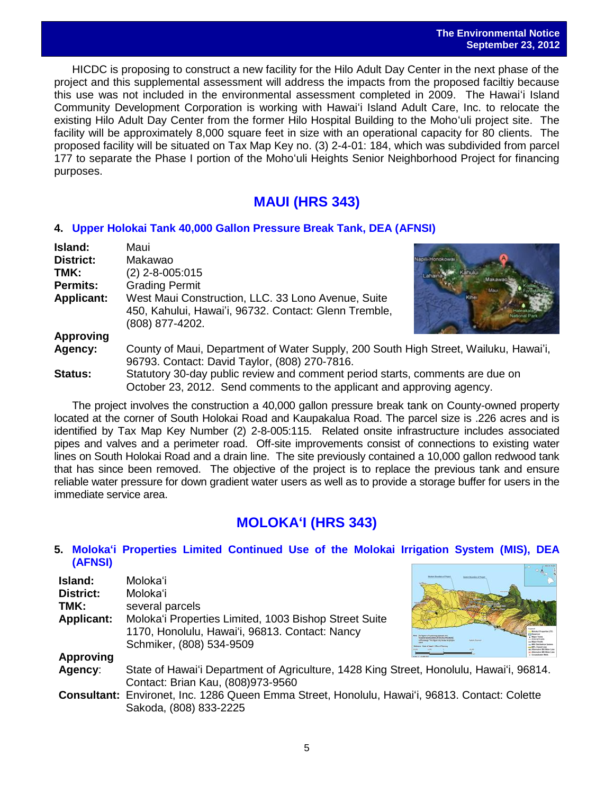### **The Environmental Notice September 23, 2012**

 $\overline{\phantom{a}}$ HICDC is proposing to construct a new facility for the Hilo Adult Day Center in the next phase of the project and this supplemental assessment will address the impacts from the proposed faciltiy because this use was not included in the environmental assessment completed in 2009. The Hawai'i Island Community Development Corporation is working with Hawai'i Island Adult Care, Inc. to relocate the existing Hilo Adult Day Center from the former Hilo Hospital Building to the Moho'uli project site. The facility will be approximately 8,000 square feet in size with an operational capacity for 80 clients. The proposed facility will be situated on Tax Map Key no. (3) 2-4-01: 184, which was subdivided from parcel 177 to separate the Phase I portion of the Moho'uli Heights Senior Neighborhood Project for financing purposes.

# **MAUI (HRS 343)**

## **4. [Upper Holokai Tank 40,000 Gallon Pressure Break Tank,](http://oeqc.doh.hawaii.gov/Shared%20Documents/EA_and_EIS_Online_Library/Maui/2010s/2012-09-23-DEA-Upper-Holokai-Tank-40,000-Gallon-Pressure-Break-Tank.pdf) DEA (AFNSI)**

| Island:           | Maui                                                                                                                                  |          |
|-------------------|---------------------------------------------------------------------------------------------------------------------------------------|----------|
| <b>District:</b>  | Makawao                                                                                                                               | Honokowa |
| TMK:              | $(2)$ 2-8-005:015                                                                                                                     |          |
| <b>Permits:</b>   | <b>Grading Permit</b>                                                                                                                 |          |
| <b>Applicant:</b> | West Maui Construction, LLC. 33 Lono Avenue, Suite<br>450, Kahului, Hawai'i, 96732. Contact: Glenn Tremble,<br>(808) 877-4202.        |          |
| <b>Approving</b>  |                                                                                                                                       |          |
| Agency:           | County of Maui, Department of Water Supply, 200 South High Street, Wailuku, Hawai'i,<br>96793. Contact: David Taylor, (808) 270-7816. |          |
| Status:           | Statutory 30-day public review and comment period starts, comments are due on                                                         |          |
|                   | October 23, 2012. Send comments to the applicant and approving agency.                                                                |          |

The project involves the construction a 40,000 gallon pressure break tank on County-owned property located at the corner of South Holokai Road and Kaupakalua Road. The parcel size is .226 acres and is identified by Tax Map Key Number (2) 2-8-005:115. Related onsite infrastructure includes associated pipes and valves and a perimeter road. Off-site improvements consist of connections to existing water lines on South Holokai Road and a drain line. The site previously contained a 10,000 gallon redwood tank that has since been removed. The objective of the project is to replace the previous tank and ensure reliable water pressure for down gradient water users as well as to provide a storage buffer for users in the immediate service area.

# **MOLOKA'I (HRS 343)**

## **5. [Moloka'i Properties Limited Continued Use of the Molokai Irrigation System \(MIS\), DEA](http://oeqc.doh.hawaii.gov/Shared%20Documents/EA_and_EIS_Online_Library/Molokai/2010s/2012-09-23-DEA-Molokai-Properties-Limited-Continued-Use-of-MIS.pdf)  [\(AFNSI\)](http://oeqc.doh.hawaii.gov/Shared%20Documents/EA_and_EIS_Online_Library/Molokai/2010s/2012-09-23-DEA-Molokai-Properties-Limited-Continued-Use-of-MIS.pdf)**

| Island:<br><b>District:</b><br>TMK:<br><b>Applicant:</b> | Molokaʻi<br>Moloka'i<br>several parcels<br>Moloka'i Properties Limited, 1003 Bishop Street Suite<br>1170, Honolulu, Hawai'i, 96813. Contact: Nancy<br>Schmiker, (808) 534-9509 |  |
|----------------------------------------------------------|--------------------------------------------------------------------------------------------------------------------------------------------------------------------------------|--|
| <b>Approving</b>                                         |                                                                                                                                                                                |  |
| Agency:                                                  | State of Hawai'i Department of Agriculture, 1428 King Street, Honolulu, Hawai'i, 96814.<br>Contact: Brian Kau, (808)973-9560                                                   |  |
|                                                          | Consultant: Environet, Inc. 1286 Queen Emma Street, Honolulu, Hawai'i, 96813. Contact: Colette<br>Sakoda, (808) 833-2225                                                       |  |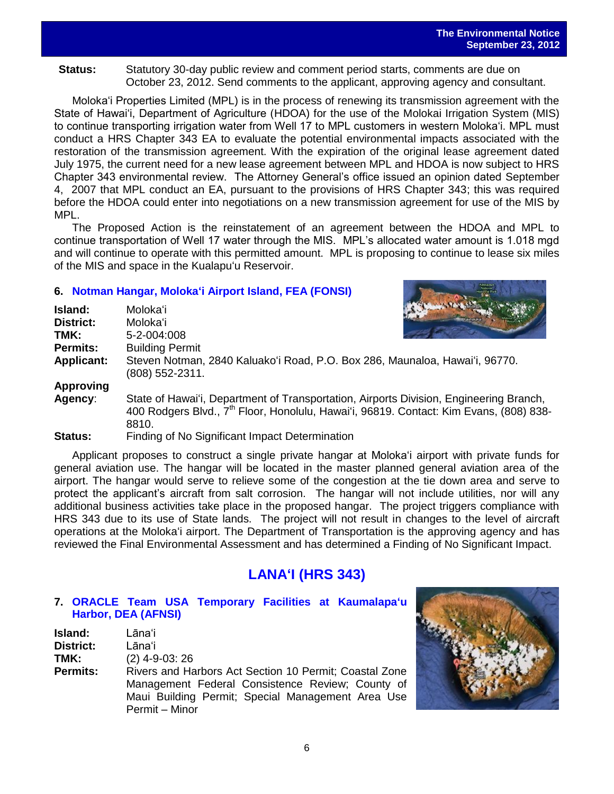Status: Statutory 30-day public review and comment period starts, comments are due on October 23, 2012. Send comments to the applicant, approving agency and consultant.

Moloka'i Properties Limited (MPL) is in the process of renewing its transmission agreement with the State of Hawai'i, Department of Agriculture (HDOA) for the use of the Molokai Irrigation System (MIS) to continue transporting irrigation water from Well 17 to MPL customers in western Moloka'i. MPL must conduct a HRS Chapter 343 EA to evaluate the potential environmental impacts associated with the restoration of the transmission agreement. With the expiration of the original lease agreement dated July 1975, the current need for a new lease agreement between MPL and HDOA is now subject to HRS Chapter 343 environmental review. The Attorney General's office issued an opinion dated September 4, 2007 that MPL conduct an EA, pursuant to the provisions of HRS Chapter 343; this was required before the HDOA could enter into negotiations on a new transmission agreement for use of the MIS by MPL.

The Proposed Action is the reinstatement of an agreement between the HDOA and MPL to continue transportation of Well 17 water through the MIS. MPL's allocated water amount is 1.018 mgd and will continue to operate with this permitted amount. MPL is proposing to continue to lease six miles of the MIS and space in the Kualapu'u Reservoir.

## **6. [Notman Hangar, Moloka'i Airport Island,](http://oeqc.doh.hawaii.gov/Shared%20Documents/EA_and_EIS_Online_Library/Molokai/2010s/2012-09-23-FEA-Notman-Hanger-Molokai-Airport.pdf) FEA (FONSI)**

| Island:           | Molokaʻi                                                                                                                                                                                              |  |
|-------------------|-------------------------------------------------------------------------------------------------------------------------------------------------------------------------------------------------------|--|
| District:         | Moloka'i                                                                                                                                                                                              |  |
| TMK:              | 5-2-004:008                                                                                                                                                                                           |  |
| <b>Permits:</b>   | <b>Building Permit</b>                                                                                                                                                                                |  |
| <b>Applicant:</b> | Steven Notman, 2840 Kaluako'i Road, P.O. Box 286, Maunaloa, Hawai'i, 96770.<br>$(808)$ 552-2311.                                                                                                      |  |
| <b>Approving</b>  |                                                                                                                                                                                                       |  |
| Agency:           | State of Hawai'i, Department of Transportation, Airports Division, Engineering Branch,<br>400 Rodgers Blvd., 7 <sup>th</sup> Floor, Honolulu, Hawai'i, 96819. Contact: Kim Evans, (808) 838-<br>8810. |  |
| P1.1.1.           | $\Gamma$ in din al-Al-Al-Alam ificent because t. Determinetisch                                                                                                                                       |  |

**Status:** Finding of No Significant Impact Determination

Applicant proposes to construct a single private hangar at Moloka'i airport with private funds for general aviation use. The hangar will be located in the master planned general aviation area of the airport. The hangar would serve to relieve some of the congestion at the tie down area and serve to protect the applicant's aircraft from salt corrosion. The hangar will not include utilities, nor will any additional business activities take place in the proposed hangar. The project triggers compliance with HRS 343 due to its use of State lands. The project will not result in changes to the level of aircraft operations at the Moloka'i airport. The Department of Transportation is the approving agency and has reviewed the Final Environmental Assessment and has determined a Finding of No Significant Impact.

# **LANA'I (HRS 343)**

## **7. ORACLE [Team USA Temporary Facilities at Kaumalapa'u](http://oeqc.doh.hawaii.gov/Shared%20Documents/EA_and_EIS_Online_Library/Lanai/2010s/2012-09-23-DEA-Oracle-Team-USA-Temporary-Facilities-at-Kaumalapau-Harbor.pdf)  Harbor, [DEA \(AFNSI\)](http://oeqc.doh.hawaii.gov/Shared%20Documents/EA_and_EIS_Online_Library/Lanai/2010s/2012-09-23-DEA-Oracle-Team-USA-Temporary-Facilities-at-Kaumalapau-Harbor.pdf)**

- **Island:** Lāna'i **District:** Lāna'i **TMK:** (2) 4-9-03: 26
- **Permits:** Rivers and Harbors Act Section 10 Permit; Coastal Zone Management Federal Consistence Review; County of Maui Building Permit; Special Management Area Use Permit – Minor

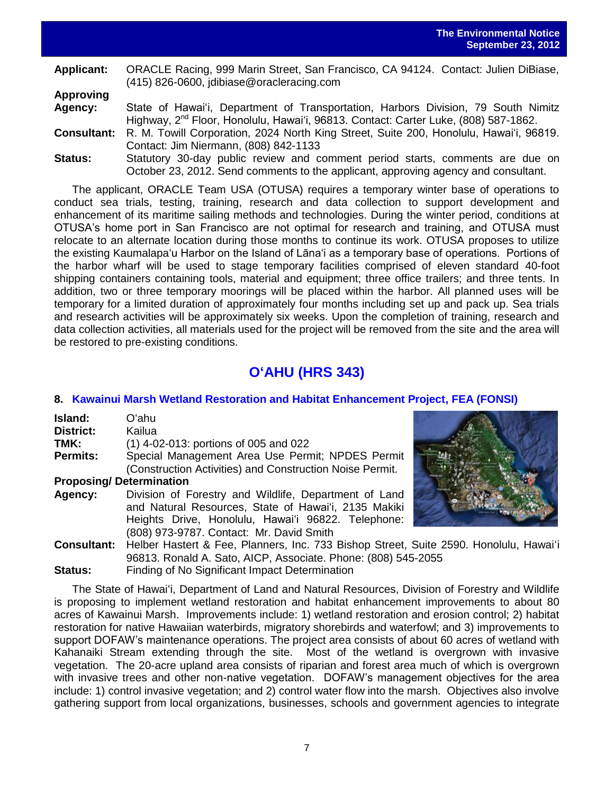**Applicant:** ORACLE Racing, 999 Marin Street, San Francisco, CA 94124. Contact: Julien DiBiase, (415) 826-0600, jdibiase@oracleracing.com **Approving**

- **Agency:** State of Hawai'i, Department of Transportation, Harbors Division, 79 South Nimitz Highway, 2<sup>nd</sup> Floor, Honolulu, Hawai'i, 96813. Contact: Carter Luke, (808) 587-1862. **Consultant:** R. M. Towill Corporation, 2024 North King Street, Suite 200, Honolulu, Hawai'i, 96819.
- Contact: Jim Niermann, (808) 842-1133 **Status:** Statutory 30-day public review and comment period starts, comments are due on October 23, 2012. Send comments to the applicant, approving agency and consultant.

The applicant, ORACLE Team USA (OTUSA) requires a temporary winter base of operations to conduct sea trials, testing, training, research and data collection to support development and enhancement of its maritime sailing methods and technologies. During the winter period, conditions at OTUSA's home port in San Francisco are not optimal for research and training, and OTUSA must relocate to an alternate location during those months to continue its work. OTUSA proposes to utilize the existing Kaumalapa'u Harbor on the Island of Lāna'i as a temporary base of operations. Portions of the harbor wharf will be used to stage temporary facilities comprised of eleven standard 40-foot shipping containers containing tools, material and equipment; three office trailers; and three tents. In addition, two or three temporary moorings will be placed within the harbor. All planned uses will be temporary for a limited duration of approximately four months including set up and pack up. Sea trials and research activities will be approximately six weeks. Upon the completion of training, research and data collection activities, all materials used for the project will be removed from the site and the area will be restored to pre-existing conditions.

# **O'AHU (HRS 343)**

## **8. [Kawainui Marsh Wetland Restoration and Habitat Enhancement Project,](http://oeqc.doh.hawaii.gov/Shared%20Documents/EA_and_EIS_Online_Library/Oahu/2010s/2012-09-23-FEA-Kawainui-Marsh-Wetland-Restoration-Habitat-Enhancement-Project.pdf) FEA (FONSI)**

| Island:   | Oʻahu                                                    |
|-----------|----------------------------------------------------------|
| District: | Kailua                                                   |
| TMK:      | $(1)$ 4-02-013: portions of 005 and 022                  |
| Permits:  | Special Management Area Use Permit; NPDES Permit         |
|           | (Construction Activities) and Construction Noise Permit. |
|           | <b>Proposing/Determination</b>                           |
| Agency:   | Division of Forestry and Wildlife, Department of Land    |
|           | and Natural Resources, State of Hawai'i, 2135 Makiki     |
|           | Heights Drive, Honolulu, Hawai'i 96822. Telephone:       |

(808) 973-9787. Contact: Mr. David Smith



**Consultant:** Helber Hastert & Fee, Planners, Inc. 733 Bishop Street, Suite 2590. Honolulu, Hawai'i 96813. Ronald A. Sato, AICP, Associate. Phone: (808) 545-2055 **Status:** Finding of No Significant Impact Determination

The State of Hawai'i, Department of Land and Natural Resources, Division of Forestry and Wildlife is proposing to implement wetland restoration and habitat enhancement improvements to about 80 acres of Kawainui Marsh. Improvements include: 1) wetland restoration and erosion control; 2) habitat restoration for native Hawaiian waterbirds, migratory shorebirds and waterfowl; and 3) improvements to support DOFAW's maintenance operations. The project area consists of about 60 acres of wetland with Kahanaiki Stream extending through the site. Most of the wetland is overgrown with invasive vegetation. The 20-acre upland area consists of riparian and forest area much of which is overgrown with invasive trees and other non-native vegetation. DOFAW's management objectives for the area include: 1) control invasive vegetation; and 2) control water flow into the marsh. Objectives also involve gathering support from local organizations, businesses, schools and government agencies to integrate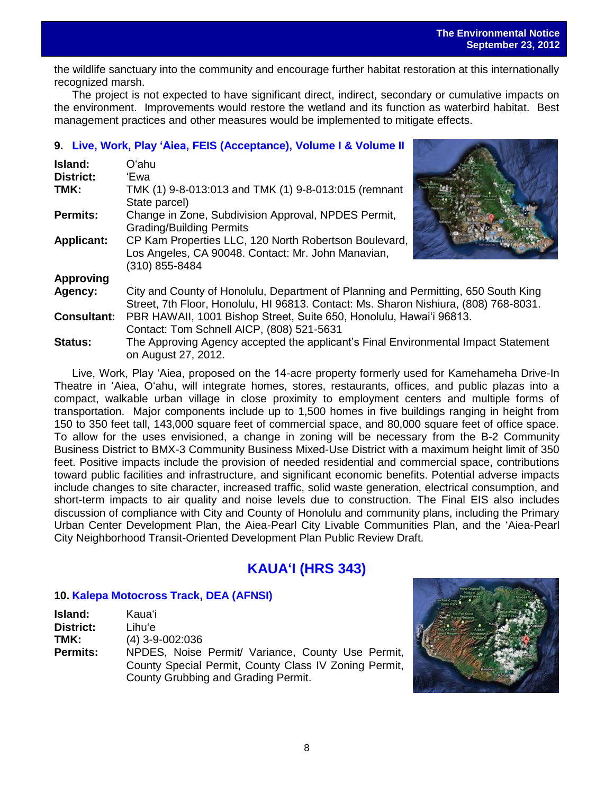the wildlife sanctuary into the community and encourage further habitat restoration at this internationally recognized marsh.

The project is not expected to have significant direct, indirect, secondary or cumulative impacts on the environment. Improvements would restore the wetland and its function as waterbird habitat. Best management practices and other measures would be implemented to mitigate effects.

## **9. Live, Work, Play 'Aiea, [FEIS \(Acceptance\)](http://oeqc.doh.hawaii.gov/Shared%20Documents/EA_and_EIS_Online_Library/Oahu/2010s/2012-09-23-FEIS-Live-Work-Play-Aiea-Acceptance.pdf), [Volume I](http://oeqc.doh.hawaii.gov/Shared%20Documents/EA_and_EIS_Online_Library/Oahu/2010s/2012-09-23-FEIS-Live-Work-Play-Aeia-Volume-I.pdf) & [Volume II](http://oeqc.doh.hawaii.gov/Shared%20Documents/EA_and_EIS_Online_Library/Oahu/2010s/2012-09-23-FEIS-Live-Work-Play-Aeia-Volume-II.pdf)**

| Island:            | Oʻahu                                                                                                                                                                      |  |
|--------------------|----------------------------------------------------------------------------------------------------------------------------------------------------------------------------|--|
| <b>District:</b>   | 'Ewa                                                                                                                                                                       |  |
| TMK:               | TMK (1) 9-8-013:013 and TMK (1) 9-8-013:015 (remnant<br>State parcel)                                                                                                      |  |
| <b>Permits:</b>    | Change in Zone, Subdivision Approval, NPDES Permit,<br><b>Grading/Building Permits</b>                                                                                     |  |
| <b>Applicant:</b>  | CP Kam Properties LLC, 120 North Robertson Boulevard,<br>Los Angeles, CA 90048. Contact: Mr. John Manavian,<br>(310) 855-8484                                              |  |
| <b>Approving</b>   |                                                                                                                                                                            |  |
| Agency:            | City and County of Honolulu, Department of Planning and Permitting, 650 South King<br>Street, 7th Floor, Honolulu, HI 96813. Contact: Ms. Sharon Nishiura, (808) 768-8031. |  |
| <b>Consultant:</b> | PBR HAWAII, 1001 Bishop Street, Suite 650, Honolulu, Hawai'i 96813.<br>Contact: Tom Schnell AICP, (808) 521-5631                                                           |  |
| <b>Status:</b>     | The Approving Agency accepted the applicant's Final Environmental Impact Statement<br>on August 27, 2012.                                                                  |  |

Live, Work, Play 'Aiea, proposed on the 14-acre property formerly used for Kamehameha Drive-In Theatre in 'Aiea, O'ahu, will integrate homes, stores, restaurants, offices, and public plazas into a compact, walkable urban village in close proximity to employment centers and multiple forms of transportation. Major components include up to 1,500 homes in five buildings ranging in height from 150 to 350 feet tall, 143,000 square feet of commercial space, and 80,000 square feet of office space. To allow for the uses envisioned, a change in zoning will be necessary from the B-2 Community Business District to BMX-3 Community Business Mixed-Use District with a maximum height limit of 350 feet. Positive impacts include the provision of needed residential and commercial space, contributions toward public facilities and infrastructure, and significant economic benefits. Potential adverse impacts include changes to site character, increased traffic, solid waste generation, electrical consumption, and short-term impacts to air quality and noise levels due to construction. The Final EIS also includes discussion of compliance with City and County of Honolulu and community plans, including the Primary Urban Center Development Plan, the Aiea-Pearl City Livable Communities Plan, and the 'Aiea-Pearl City Neighborhood Transit-Oriented Development Plan Public Review Draft.

# **KAUA'I (HRS 343)**

## **10. [Kalepa Motocross Track,](http://oeqc.doh.hawaii.gov/Shared%20Documents/EA_and_EIS_Online_Library/Kauai/2010s/2012-09-23-DEA-Kalepa-Motocross-Track.pdf) DEA (AFNSI)**

| Island:         | Kaua'i                                                |
|-----------------|-------------------------------------------------------|
| District:       | Lihuʻe                                                |
| TMK:            | $(4)$ 3-9-002:036                                     |
| <b>Permits:</b> | NPDES, Noise Permit/ Variance, County Use Permit,     |
|                 | County Special Permit, County Class IV Zoning Permit, |
|                 | County Grubbing and Grading Permit.                   |

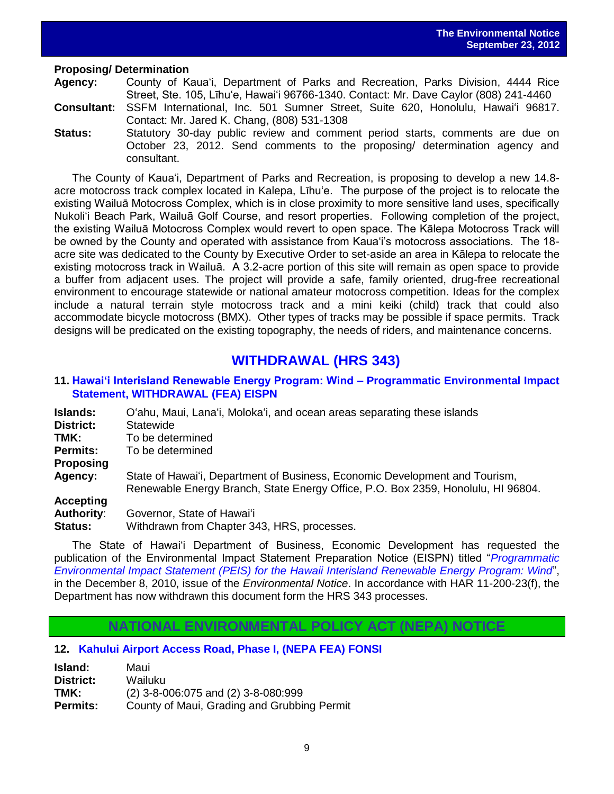### **Proposing/ Determination**

**Agency:** County of Kaua'i, Department of Parks and Recreation, Parks Division, 4444 Rice Street, Ste. 105, Līhu'e, Hawai'i 96766-1340. Contact: Mr. Dave Caylor (808) 241-4460

- **Consultant:** SSFM International, Inc. 501 Sumner Street, Suite 620, Honolulu, Hawai'i 96817. Contact: Mr. Jared K. Chang, (808) 531-1308
- **Status:** Statutory 30-day public review and comment period starts, comments are due on October 23, 2012. Send comments to the proposing/ determination agency and consultant.

The County of Kaua'i, Department of Parks and Recreation, is proposing to develop a new 14.8 acre motocross track complex located in Kalepa, Līhu'e. The purpose of the project is to relocate the existing Wailuā Motocross Complex, which is in close proximity to more sensitive land uses, specifically Nukoli'i Beach Park, Wailuā Golf Course, and resort properties. Following completion of the project, the existing Wailuā Motocross Complex would revert to open space. The Kālepa Motocross Track will be owned by the County and operated with assistance from Kaua'i's motocross associations. The 18 acre site was dedicated to the County by Executive Order to set-aside an area in Kālepa to relocate the existing motocross track in Wailuā. A 3.2-acre portion of this site will remain as open space to provide a buffer from adjacent uses. The project will provide a safe, family oriented, drug-free recreational environment to encourage statewide or national amateur motocross competition. Ideas for the complex include a natural terrain style motocross track and a mini keiki (child) track that could also accommodate bicycle motocross (BMX). Other types of tracks may be possible if space permits. Track designs will be predicated on the existing topography, the needs of riders, and maintenance concerns.

## **WITHDRAWAL (HRS 343)**

## **11. [Hawai'i Interisland Renewable Energy Program: Wind –](http://oeqc.doh.hawaii.gov/Shared%20Documents/EA_and_EIS_Online_Library/Statewide/2010s/2012-09-23-ST-WITHDRAWAL-FEA-EISPN-Hawaii-Interisland-Renewable-Energy-Program-Programmatic-EIS-Wind.pdf) Programmatic Environmental Impact [Statement, WITHDRAWAL \(FEA\) EISPN](http://oeqc.doh.hawaii.gov/Shared%20Documents/EA_and_EIS_Online_Library/Statewide/2010s/2012-09-23-ST-WITHDRAWAL-FEA-EISPN-Hawaii-Interisland-Renewable-Energy-Program-Programmatic-EIS-Wind.pdf)**

| <b>Islands:</b>                | O'ahu, Maui, Lana'i, Moloka'i, and ocean areas separating these islands                                                                                         |
|--------------------------------|-----------------------------------------------------------------------------------------------------------------------------------------------------------------|
| <b>District:</b>               | Statewide                                                                                                                                                       |
| TMK:                           | To be determined                                                                                                                                                |
| <b>Permits:</b>                | To be determined                                                                                                                                                |
| <b>Proposing</b>               |                                                                                                                                                                 |
| Agency:                        | State of Hawai'i, Department of Business, Economic Development and Tourism,<br>Renewable Energy Branch, State Energy Office, P.O. Box 2359, Honolulu, HI 96804. |
| Accepting<br><b>Authority:</b> | Governor, State of Hawai'i                                                                                                                                      |

**Status:** Withdrawn from Chapter 343, HRS, processes.

The State of Hawai'i Department of Business, Economic Development has requested the publication of the Environmental Impact Statement Preparation Notice (EISPN) titled "*[Programmatic](http://oeqc.doh.hawaii.gov/Shared%20Documents/EA_and_EIS_Online_Library/Statewide/2010s/2010-12-08-ST-EISPN-Interisland-Renewable-Energy-Wind.pdf)  [Environmental Impact Statement \(PEIS\) for the Hawaii Interisland Renewable Energy Program: Wind](http://oeqc.doh.hawaii.gov/Shared%20Documents/EA_and_EIS_Online_Library/Statewide/2010s/2010-12-08-ST-EISPN-Interisland-Renewable-Energy-Wind.pdf)*", in the December 8, 2010, issue of the *Environmental Notice*. In accordance with HAR 11-200-23(f), the Department has now withdrawn this document form the HRS 343 processes.

**NATIONAL ENVIRONMENTAL POLICY ACT (NEPA) NOTICE**

## **12. [Kahului Airport Access Road, Phase I,](http://oeqc.doh.hawaii.gov/Shared%20Documents/EA_and_EIS_Online_Library/NEPA%20and%20Other%20Documents/2012-09-23-NEPA-Kahului-Airport-Access-Road.pdf) (NEPA FEA) FONSI**

| Island:          | Maui                                        |
|------------------|---------------------------------------------|
| <b>District:</b> | Wailuku                                     |
| TMK:             | (2) 3-8-006:075 and (2) 3-8-080:999         |
| <b>Permits:</b>  | County of Maui, Grading and Grubbing Permit |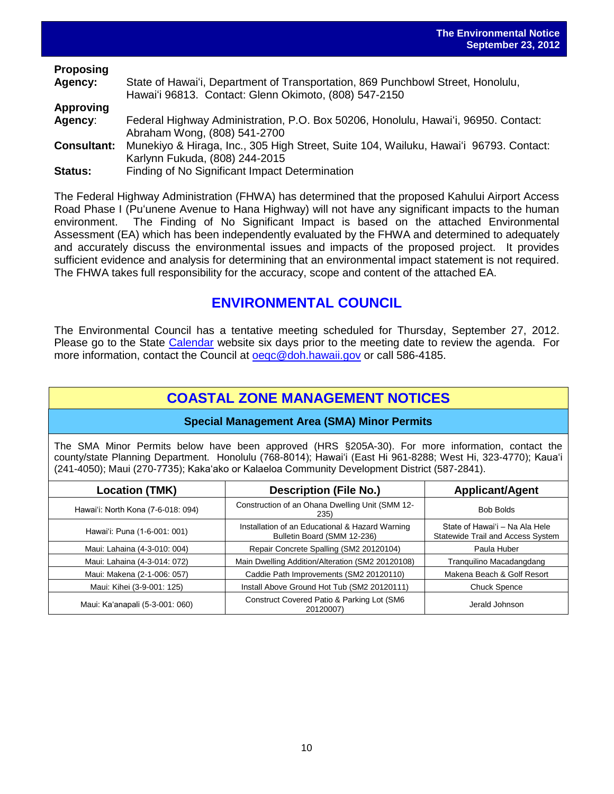|                    | September 23, 201                                                                                                                        |
|--------------------|------------------------------------------------------------------------------------------------------------------------------------------|
| <b>Proposing</b>   |                                                                                                                                          |
| Agency:            | State of Hawai'i, Department of Transportation, 869 Punchbowl Street, Honolulu,<br>Hawai'i 96813. Contact: Glenn Okimoto, (808) 547-2150 |
| <b>Approving</b>   |                                                                                                                                          |
| Agency:            | Federal Highway Administration, P.O. Box 50206, Honolulu, Hawai'i, 96950. Contact:<br>Abraham Wong, (808) 541-2700                       |
| <b>Consultant:</b> | Munekiyo & Hiraga, Inc., 305 High Street, Suite 104, Wailuku, Hawai'i 96793. Contact:<br>Karlynn Fukuda, (808) 244-2015                  |
| Status:            | Finding of No Significant Impact Determination                                                                                           |

The Federal Highway Administration (FHWA) has determined that the proposed Kahului Airport Access Road Phase I (Pu'unene Avenue to Hana Highway) will not have any significant impacts to the human environment. The Finding of No Significant Impact is based on the attached Environmental Assessment (EA) which has been independently evaluated by the FHWA and determined to adequately and accurately discuss the environmental issues and impacts of the proposed project. It provides sufficient evidence and analysis for determining that an environmental impact statement is not required. The FHWA takes full responsibility for the accuracy, scope and content of the attached EA.

## **ENVIRONMENTAL COUNCIL**

The Environmental Council has a tentative meeting scheduled for Thursday, September 27, 2012. Please go to the State [Calendar](http://calendar.ehawaii.gov/calendar/html/event) website six days prior to the meeting date to review the agenda. For more information, contact the Council at oegc@doh.hawaii.gov or call 586-4185.

# **COASTAL ZONE MANAGEMENT NOTICES**

## **Special Management Area (SMA) Minor Permits**

The SMA Minor Permits below have been approved (HRS §205A-30). For more information, contact the county/state Planning Department. Honolulu (768-8014); Hawai'i (East Hi 961-8288; West Hi, 323-4770); Kaua'i (241-4050); Maui (270-7735); Kaka'ako or Kalaeloa Community Development District (587-2841).

| <b>Location (TMK)</b>              | <b>Description (File No.)</b>                                                  | <b>Applicant/Agent</b>                                                     |  |  |  |
|------------------------------------|--------------------------------------------------------------------------------|----------------------------------------------------------------------------|--|--|--|
| Hawai'i: North Kona (7-6-018: 094) | Construction of an Ohana Dwelling Unit (SMM 12-<br>235)                        | <b>Bob Bolds</b>                                                           |  |  |  |
| Hawai'i: Puna (1-6-001: 001)       | Installation of an Educational & Hazard Warning<br>Bulletin Board (SMM 12-236) | State of Hawai'i - Na Ala Hele<br><b>Statewide Trail and Access System</b> |  |  |  |
| Maui: Lahaina (4-3-010: 004)       | Repair Concrete Spalling (SM2 20120104)                                        | Paula Huber                                                                |  |  |  |
| Maui: Lahaina (4-3-014: 072)       | Main Dwelling Addition/Alteration (SM2 20120108)                               | Tranguilino Macadangdang                                                   |  |  |  |
| Maui: Makena (2-1-006: 057)        | Caddie Path Improvements (SM2 20120110)                                        | Makena Beach & Golf Resort                                                 |  |  |  |
| Maui: Kihei (3-9-001: 125)         | Install Above Ground Hot Tub (SM2 20120111)                                    | <b>Chuck Spence</b>                                                        |  |  |  |
| Maui: Ka'anapali (5-3-001: 060)    | Construct Covered Patio & Parking Lot (SM6<br>20120007)                        | Jerald Johnson                                                             |  |  |  |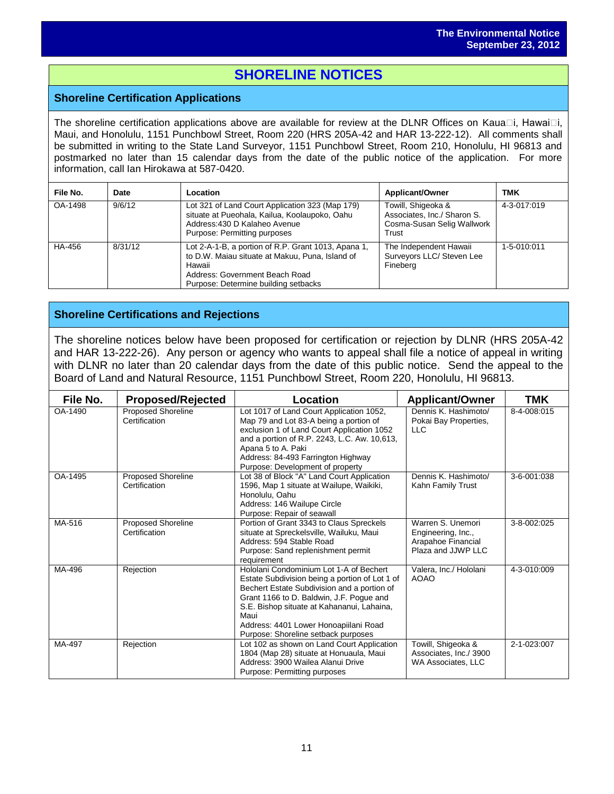# **SHORELINE NOTICES**

## **Shoreline Certification Applications**

The shoreline certification applications above are available for review at the DLNR Offices on Kaua $\Box$ i, Hawai $\Box$ i, Maui, and Honolulu, 1151 Punchbowl Street, Room 220 (HRS 205A-42 and HAR 13-222-12). All comments shall be submitted in writing to the State Land Surveyor, 1151 Punchbowl Street, Room 210, Honolulu, HI 96813 and postmarked no later than 15 calendar days from the date of the public notice of the application. For more information, call Ian Hirokawa at 587-0420.

| File No. | Date    | Location                                                                                                                                                                                   | <b>Applicant/Owner</b>                                                                   | <b>TMK</b>  |
|----------|---------|--------------------------------------------------------------------------------------------------------------------------------------------------------------------------------------------|------------------------------------------------------------------------------------------|-------------|
| OA-1498  | 9/6/12  | Lot 321 of Land Court Application 323 (Map 179)<br>situate at Pueohala, Kailua, Koolaupoko, Oahu<br>Address: 430 D Kalaheo Avenue<br>Purpose: Permitting purposes                          | Towill, Shigeoka &<br>Associates, Inc./ Sharon S.<br>Cosma-Susan Selig Wallwork<br>Trust | 4-3-017:019 |
| HA-456   | 8/31/12 | Lot 2-A-1-B, a portion of R.P. Grant 1013, Apana 1,<br>to D.W. Maiau situate at Makuu, Puna, Island of<br>Hawaii<br>Address: Government Beach Road<br>Purpose: Determine building setbacks | The Independent Hawaii<br>Surveyors LLC/ Steven Lee<br>Fineberg                          | 1-5-010:011 |

## **Shoreline Certifications and Rejections**

The shoreline notices below have been proposed for certification or rejection by DLNR (HRS 205A-42 and HAR 13-222-26). Any person or agency who wants to appeal shall file a notice of appeal in writing with DLNR no later than 20 calendar days from the date of this public notice. Send the appeal to the Board of Land and Natural Resource, 1151 Punchbowl Street, Room 220, Honolulu, HI 96813.

| File No. | <b>Proposed/Rejected</b>                   | <b>Location</b>                                                                                                                                                                                                                                                                                                            | <b>Applicant/Owner</b>                                                              | TMK         |
|----------|--------------------------------------------|----------------------------------------------------------------------------------------------------------------------------------------------------------------------------------------------------------------------------------------------------------------------------------------------------------------------------|-------------------------------------------------------------------------------------|-------------|
| OA-1490  | Proposed Shoreline<br>Certification        | Lot 1017 of Land Court Application 1052,<br>Map 79 and Lot 83-A being a portion of<br>exclusion 1 of Land Court Application 1052<br>and a portion of R.P. 2243, L.C. Aw. 10,613,<br>Apana 5 to A. Paki<br>Address: 84-493 Farrington Highway<br>Purpose: Development of property                                           | Dennis K. Hashimoto/<br>Pokai Bay Properties,<br><b>LLC</b>                         | 8-4-008:015 |
| OA-1495  | Proposed Shoreline<br>Certification        | Lot 38 of Block "A" Land Court Application<br>1596, Map 1 situate at Wailupe, Waikiki,<br>Honolulu. Oahu<br>Address: 146 Wailupe Circle<br>Purpose: Repair of seawall                                                                                                                                                      | Dennis K. Hashimoto/<br>Kahn Family Trust                                           | 3-6-001:038 |
| MA-516   | <b>Proposed Shoreline</b><br>Certification | Portion of Grant 3343 to Claus Spreckels<br>situate at Spreckelsville, Wailuku, Maui<br>Address: 594 Stable Road<br>Purpose: Sand replenishment permit<br>requirement                                                                                                                                                      | Warren S. Unemori<br>Engineering, Inc.,<br>Arapahoe Financial<br>Plaza and JJWP LLC | 3-8-002:025 |
| MA-496   | Rejection                                  | Hololani Condominium Lot 1-A of Bechert<br>Estate Subdivision being a portion of Lot 1 of<br>Bechert Estate Subdivision and a portion of<br>Grant 1166 to D. Baldwin, J.F. Pogue and<br>S.E. Bishop situate at Kahananui, Lahaina,<br>Maui<br>Address: 4401 Lower Honoapiilani Road<br>Purpose: Shoreline setback purposes | Valera, Inc./ Hololani<br><b>AOAO</b>                                               | 4-3-010:009 |
| MA-497   | Rejection                                  | Lot 102 as shown on Land Court Application<br>1804 (Map 28) situate at Honuaula, Maui<br>Address: 3900 Wailea Alanui Drive<br>Purpose: Permitting purposes                                                                                                                                                                 | Towill, Shigeoka &<br>Associates, Inc./ 3900<br><b>WA Associates, LLC</b>           | 2-1-023:007 |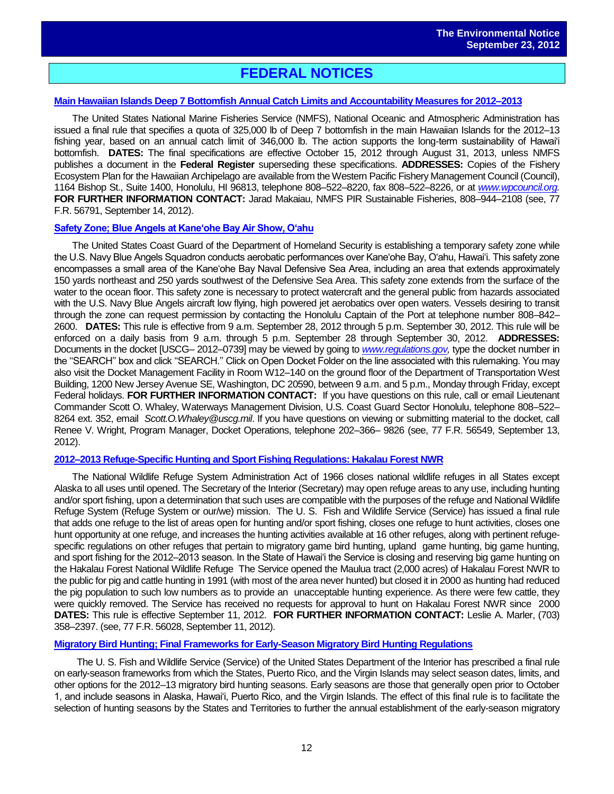# **FEDERAL NOTICES**

### **[Main Hawaiian Islands Deep 7 Bottomfish Annual Catch Limits and Accountability Measures for 2012–2013](http://www.gpo.gov/fdsys/pkg/FR-2012-09-14/pdf/2012-22736.pdf)**

The United States National Marine Fisheries Service (NMFS), National Oceanic and Atmospheric Administration has issued a final rule that specifies a quota of 325,000 lb of Deep 7 bottomfish in the main Hawaiian Islands for the 2012–13 fishing year, based on an annual catch limit of 346,000 lb. The action supports the long-term sustainability of Hawai'i bottomfish. **DATES:** The final specifications are effective October 15, 2012 through August 31, 2013, unless NMFS publishes a document in the **Federal Register** superseding these specifications. **ADDRESSES:** Copies of the Fishery Ecosystem Plan for the Hawaiian Archipelago are available from the Western Pacific Fishery Management Council (Council), 1164 Bishop St., Suite 1400, Honolulu, HI 96813, telephone 808–522–8220, fax 808–522–8226, or at *[www.wpcouncil.org.](http://www.wpcouncil.org/)*  **FOR FURTHER INFORMATION CONTACT:** Jarad Makaiau, NMFS PIR Sustainable Fisheries, 808–944–2108 (see, 77 F.R. 56791, September 14, 2012).

### **[Safety Zone; Blue Angels at Kane'ohe Bay Air Show, O'ahu](http://www.gpo.gov/fdsys/pkg/FR-2012-09-13/pdf/2012-22600.pdf)**

The United States Coast Guard of the Department of Homeland Security is establishing a temporary safety zone while the U.S. Navy Blue Angels Squadron conducts aerobatic performances over Kane'ohe Bay, O'ahu, Hawai'i. This safety zone encompasses a small area of the Kane'ohe Bay Naval Defensive Sea Area, including an area that extends approximately 150 yards northeast and 250 yards southwest of the Defensive Sea Area. This safety zone extends from the surface of the water to the ocean floor. This safety zone is necessary to protect watercraft and the general public from hazards associated with the U.S. Navy Blue Angels aircraft low flying, high powered jet aerobatics over open waters. Vessels desiring to transit through the zone can request permission by contacting the Honolulu Captain of the Port at telephone number 808–842– 2600. **DATES:** This rule is effective from 9 a.m. September 28, 2012 through 5 p.m. September 30, 2012. This rule will be enforced on a daily basis from 9 a.m. through 5 p.m. September 28 through September 30, 2012. **ADDRESSES:**  Documents in the docket [USCG– 2012–0739] may be viewed by going to *[www.regulations.gov,](http://www.regulations.gov/)* type the docket number in the ''SEARCH'' box and click ''SEARCH.'' Click on Open Docket Folder on the line associated with this rulemaking. You may also visit the Docket Management Facility in Room W12–140 on the ground floor of the Department of Transportation West Building, 1200 New Jersey Avenue SE, Washington, DC 20590, between 9 a.m. and 5 p.m., Monday through Friday, except Federal holidays. **FOR FURTHER INFORMATION CONTACT:** If you have questions on this rule, call or email Lieutenant Commander Scott O. Whaley, Waterways Management Division, U.S. Coast Guard Sector Honolulu, telephone 808–522– 8264 ext. 352, email *Scott.O.Whaley@uscg.mil*. If you have questions on viewing or submitting material to the docket, call Renee V. Wright, Program Manager, Docket Operations, telephone 202–366– 9826 (see, 77 F.R. 56549, September 13, 2012).

### **[2012–2013 Refuge-Specific Hunting and Sport Fishing Regulations: Hakalau Forest NWR](http://www.gpo.gov/fdsys/pkg/FR-2012-09-11/pdf/2012-22099.pdf)**

The National Wildlife Refuge System Administration Act of 1966 closes national wildlife refuges in all States except Alaska to all uses until opened. The Secretary of the Interior (Secretary) may open refuge areas to any use, including hunting and/or sport fishing, upon a determination that such uses are compatible with the purposes of the refuge and National Wildlife Refuge System (Refuge System or our/we) mission. The U. S. Fish and Wildlife Service (Service) has issued a final rule that adds one refuge to the list of areas open for hunting and/or sport fishing, closes one refuge to hunt activities, closes one hunt opportunity at one refuge, and increases the hunting activities available at 16 other refuges, along with pertinent refugespecific regulations on other refuges that pertain to migratory game bird hunting, upland game hunting, big game hunting, and sport fishing for the 2012–2013 season. In the State of Hawai'i the Service is closing and reserving big game hunting on the Hakalau Forest National Wildlife Refuge The Service opened the Maulua tract (2,000 acres) of Hakalau Forest NWR to the public for pig and cattle hunting in 1991 (with most of the area never hunted) but closed it in 2000 as hunting had reduced the pig population to such low numbers as to provide an unacceptable hunting experience. As there were few cattle, they were quickly removed. The Service has received no requests for approval to hunt on Hakalau Forest NWR since 2000 **DATES:** This rule is effective September 11, 2012. **FOR FURTHER INFORMATION CONTACT:** Leslie A. Marler, (703) 358–2397. (see, 77 F.R. 56028, September 11, 2012).

### **[Migratory Bird Hunting; Final Frameworks for Early-Season Migratory Bird Hunting Regulations](http://www.gpo.gov/fdsys/pkg/FR-2012-08-30/pdf/2012-21293.pdf)**

The U. S. Fish and Wildlife Service (Service) of the United States Department of the Interior has prescribed a final rule on early-season frameworks from which the States, Puerto Rico, and the Virgin Islands may select season dates, limits, and other options for the 2012–13 migratory bird hunting seasons. Early seasons are those that generally open prior to October 1, and include seasons in Alaska, Hawai'i, Puerto Rico, and the Virgin Islands. The effect of this final rule is to facilitate the selection of hunting seasons by the States and Territories to further the annual establishment of the early-season migratory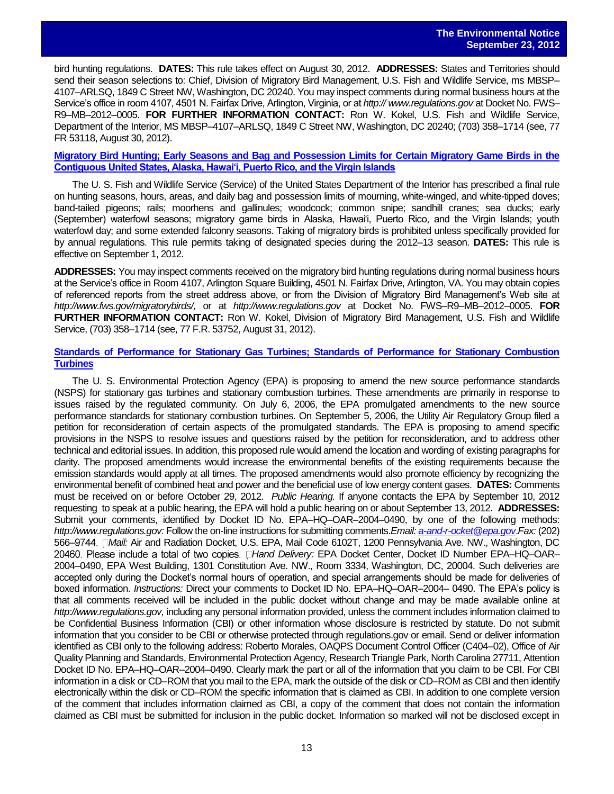bird hunting regulations. **DATES:** This rule takes effect on August 30, 2012. **ADDRESSES:** States and Territories should send their season selections to: Chief, Division of Migratory Bird Management, U.S. Fish and Wildlife Service, ms MBSP– 4107–ARLSQ, 1849 C Street NW, Washington, DC 20240. You may inspect comments during normal business hours at the Service's office in room 4107, 4501 N. Fairfax Drive, Arlington, Virginia, or at *http:// www.regulations.gov* at Docket No. FWS– R9–MB–2012–0005. **FOR FURTHER INFORMATION CONTACT:** Ron W. Kokel, U.S. Fish and Wildlife Service, Department of the Interior, MS MBSP–4107–ARLSQ, 1849 C Street NW, Washington, DC 20240; (703) 358–1714 (see, 77 FR 53118, August 30, 2012).

### **[Migratory Bird Hunting; Early Seasons and Bag and Possession Limits for Certain Migratory Game Birds in the](http://www.gpo.gov/fdsys/pkg/FR-2012-08-31/pdf/2012-21294.pdf)  [Contiguous United States, Alaska, Hawai'i, Puerto Rico, and the Virgin Islands](http://www.gpo.gov/fdsys/pkg/FR-2012-08-31/pdf/2012-21294.pdf)**

The U. S. Fish and Wildlife Service (Service) of the United States Department of the Interior has prescribed a final rule on hunting seasons, hours, areas, and daily bag and possession limits of mourning, white-winged, and white-tipped doves; band-tailed pigeons; rails; moorhens and gallinules; woodcock; common snipe; sandhill cranes; sea ducks; early (September) waterfowl seasons; migratory game birds in Alaska, Hawai'i, Puerto Rico, and the Virgin Islands; youth waterfowl day; and some extended falconry seasons. Taking of migratory birds is prohibited unless specifically provided for by annual regulations. This rule permits taking of designated species during the 2012–13 season. **DATES:** This rule is effective on September 1, 2012.

**ADDRESSES:** You may inspect comments received on the migratory bird hunting regulations during normal business hours at the Service's office in Room 4107, Arlington Square Building, 4501 N. Fairfax Drive, Arlington, VA. You may obtain copies of referenced reports from the street address above, or from the Division of Migratory Bird Management's Web site at *http://www.fws.gov/migratorybirds/,* or at *http://www.regulations.gov* at Docket No. FWS–R9–MB–2012–0005. **FOR FURTHER INFORMATION CONTACT:** Ron W. Kokel, Division of Migratory Bird Management, U.S. Fish and Wildlife Service, (703) 358–1714 (see, 77 F.R. 53752, August 31, 2012).

### **[Standards of Performance for Stationary Gas Turbines; Standards of Performance for Stationary Combustion](http://www.gpo.gov/fdsys/pkg/FR-2012-08-29/pdf/2012-20524.pdf)  [Turbines](http://www.gpo.gov/fdsys/pkg/FR-2012-08-29/pdf/2012-20524.pdf)**

The U. S. Environmental Protection Agency (EPA) is proposing to amend the new source performance standards (NSPS) for stationary gas turbines and stationary combustion turbines. These amendments are primarily in response to issues raised by the regulated community. On July 6, 2006, the EPA promulgated amendments to the new source performance standards for stationary combustion turbines. On September 5, 2006, the Utility Air Regulatory Group filed a petition for reconsideration of certain aspects of the promulgated standards. The EPA is proposing to amend specific provisions in the NSPS to resolve issues and questions raised by the petition for reconsideration, and to address other technical and editorial issues. In addition, this proposed rule would amend the location and wording of existing paragraphs for clarity. The proposed amendments would increase the environmental benefits of the existing requirements because the emission standards would apply at all times. The proposed amendments would also promote efficiency by recognizing the environmental benefit of combined heat and power and the beneficial use of low energy content gases. **DATES:** Comments must be received on or before October 29, 2012. *Public Hearing.* If anyone contacts the EPA by September 10, 2012 requesting to speak at a public hearing, the EPA will hold a public hearing on or about September 13, 2012. **ADDRESSES:**  Submit your comments, identified by Docket ID No. EPA–HQ–OAR–2004–0490, by one of the following methods: *http://www.regulations.gov:* Follow the on-line instructions for submitting comments.*Email[: a-and-r-ocket@epa.gov](mailto:a-and-r-ocket@epa.gov)*.*Fax:* (202) 566– *Mail:* Air and Radiation Docket, U.S. EPA, Mail Code 6102T, 1200 Pennsylvania Ave. NW., Washington, DC 20460. Please include a total of two copies. □Hand Delivery: EPA Docket Center, Docket ID Number EPA–HQ–OAR– 2004–0490, EPA West Building, 1301 Constitution Ave. NW., Room 3334, Washington, DC, 20004. Such deliveries are accepted only during the Docket's normal hours of operation, and special arrangements should be made for deliveries of boxed information. *Instructions:* Direct your comments to Docket ID No. EPA–HQ–OAR–2004– 0490. The EPA's policy is that all comments received will be included in the public docket without change and may be made available online at *http://www.regulations.gov,* including any personal information provided, unless the comment includes information claimed to be Confidential Business Information (CBI) or other information whose disclosure is restricted by statute. Do not submit information that you consider to be CBI or otherwise protected through regulations.gov or email. Send or deliver information identified as CBI only to the following address: Roberto Morales, OAQPS Document Control Officer (C404–02), Office of Air Quality Planning and Standards, Environmental Protection Agency, Research Triangle Park, North Carolina 27711, Attention Docket ID No. EPA–HQ–OAR–2004–0490. Clearly mark the part or all of the information that you claim to be CBI. For CBI information in a disk or CD–ROM that you mail to the EPA, mark the outside of the disk or CD–ROM as CBI and then identify electronically within the disk or CD–ROM the specific information that is claimed as CBI. In addition to one complete version of the comment that includes information claimed as CBI, a copy of the comment that does not contain the information claimed as CBI must be submitted for inclusion in the public docket. Information so marked will not be disclosed except in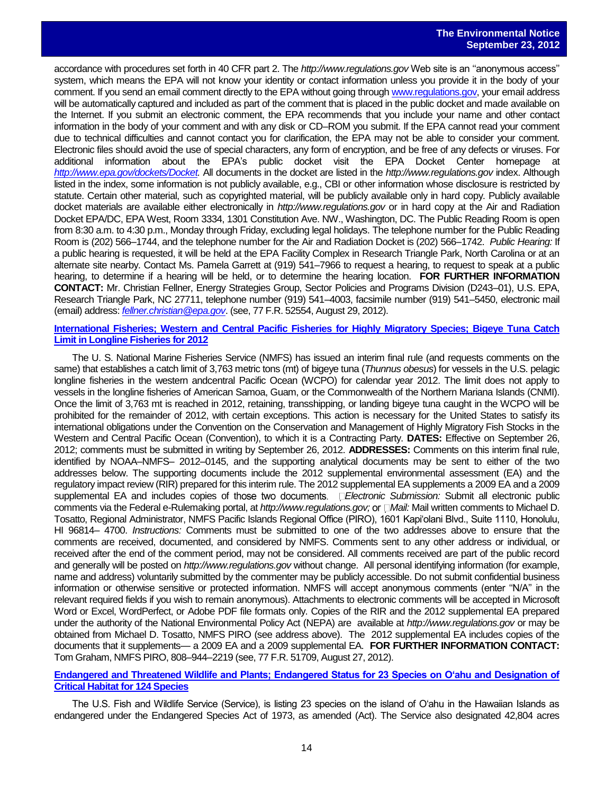accordance with procedures set forth in 40 CFR part 2. The *http://www.regulations.gov* Web site is an ''anonymous access'' system, which means the EPA will not know your identity or contact information unless you provide it in the body of your comment. If you send an email comment directly to the EPA without going through [www.regulations.gov,](http://www.regulations.gov/) your email address will be automatically captured and included as part of the comment that is placed in the public docket and made available on the Internet. If you submit an electronic comment, the EPA recommends that you include your name and other contact information in the body of your comment and with any disk or CD–ROM you submit. If the EPA cannot read your comment due to technical difficulties and cannot contact you for clarification, the EPA may not be able to consider your comment. Electronic files should avoid the use of special characters, any form of encryption, and be free of any defects or viruses. For additional information about the EPA's public docket visit the EPA Docket Center homepage at *[http://www.epa.gov/dockets/Docket.](http://www.epa.gov/dockets/Docket)* All documents in the docket are listed in the *http://www.regulations.gov* index. Although listed in the index, some information is not publicly available, e.g., CBI or other information whose disclosure is restricted by statute. Certain other material, such as copyrighted material, will be publicly available only in hard copy. Publicly available docket materials are available either electronically in *http://www.regulations.gov* or in hard copy at the Air and Radiation Docket EPA/DC, EPA West, Room 3334, 1301 Constitution Ave. NW., Washington, DC. The Public Reading Room is open from 8:30 a.m. to 4:30 p.m., Monday through Friday, excluding legal holidays. The telephone number for the Public Reading Room is (202) 566–1744, and the telephone number for the Air and Radiation Docket is (202) 566–1742. *Public Hearing:* If a public hearing is requested, it will be held at the EPA Facility Complex in Research Triangle Park, North Carolina or at an alternate site nearby. Contact Ms. Pamela Garrett at (919) 541–7966 to request a hearing, to request to speak at a public hearing, to determine if a hearing will be held, or to determine the hearing location. **FOR FURTHER INFORMATION CONTACT:** Mr. Christian Fellner, Energy Strategies Group, Sector Policies and Programs Division (D243–01), U.S. EPA, Research Triangle Park, NC 27711, telephone number (919) 541–4003, facsimile number (919) 541–5450, electronic mail (email) address: *[fellner.christian@epa.gov](mailto:fellner.christian@epa.gov)*. (see, 77 F.R. 52554, August 29, 2012).

### **[International Fisheries; Western and Central Pacific Fisheries for Highly](http://www.gpo.gov/fdsys/pkg/FR-2012-08-27/pdf/2012-21092.pdf) Migratory Species; Bigeye Tuna Catch [Limit in Longline Fisheries for 2012](http://www.gpo.gov/fdsys/pkg/FR-2012-08-27/pdf/2012-21092.pdf)**

The U. S. National Marine Fisheries Service (NMFS) has issued an interim final rule (and requests comments on the same) that establishes a catch limit of 3,763 metric tons (mt) of bigeye tuna (*Thunnus obesus*) for vessels in the U.S. pelagic longline fisheries in the western andcentral Pacific Ocean (WCPO) for calendar year 2012. The limit does not apply to vessels in the longline fisheries of American Samoa, Guam, or the Commonwealth of the Northern Mariana Islands (CNMI). Once the limit of 3,763 mt is reached in 2012, retaining, transshipping, or landing bigeye tuna caught in the WCPO will be prohibited for the remainder of 2012, with certain exceptions. This action is necessary for the United States to satisfy its international obligations under the Convention on the Conservation and Management of Highly Migratory Fish Stocks in the Western and Central Pacific Ocean (Convention), to which it is a Contracting Party. **DATES:** Effective on September 26, 2012; comments must be submitted in writing by September 26, 2012. **ADDRESSES:** Comments on this interim final rule, identified by NOAA–NMFS– 2012–0145, and the supporting analytical documents may be sent to either of the two addresses below. The supporting documents include the 2012 supplemental environmental assessment (EA) and the regulatory impact review (RIR) prepared for this interim rule. The 2012 supplemental EA supplements a 2009 EA and a 2009 supplemental EA and includes copies of those two documents. *Electronic Submission:* Submit all electronic public comments via the Federal e-Rulemaking portal, at *http://www.regulations.gov;* or  $\Box$ *Mail:* Mail written comments to Michael D. Tosatto, Regional Administrator, NMFS Pacific Islands Regional Office (PIRO), 1601 Kapi'olani Blvd., Suite 1110, Honolulu, HI 96814– 4700. *Instructions:* Comments must be submitted to one of the two addresses above to ensure that the comments are received, documented, and considered by NMFS. Comments sent to any other address or individual, or received after the end of the comment period, may not be considered. All comments received are part of the public record and generally will be posted on *http://www.regulations.gov* without change. All personal identifying information (for example, name and address) voluntarily submitted by the commenter may be publicly accessible. Do not submit confidential business information or otherwise sensitive or protected information. NMFS will accept anonymous comments (enter ''N/A'' in the relevant required fields if you wish to remain anonymous). Attachments to electronic comments will be accepted in Microsoft Word or Excel, WordPerfect, or Adobe PDF file formats only. Copies of the RIR and the 2012 supplemental EA prepared under the authority of the National Environmental Policy Act (NEPA) are available at *http://www.regulations.gov* or may be obtained from Michael D. Tosatto, NMFS PIRO (see address above). The 2012 supplemental EA includes copies of the documents that it supplements— a 2009 EA and a 2009 supplemental EA. **FOR FURTHER INFORMATION CONTACT:**  Tom Graham, NMFS PIRO, 808–944–2219 (see, 77 F.R. 51709, August 27, 2012).

### **[Endangered and Threatened Wildlife and Plants; Endangered Status for 23 Species on O'ahu and Designation of](http://www.gpo.gov/fdsys/pkg/FR-2012-09-18/pdf/2012-19561.pdf)  [Critical Habitat for 124 Species](http://www.gpo.gov/fdsys/pkg/FR-2012-09-18/pdf/2012-19561.pdf)**

The U.S. Fish and Wildlife Service (Service), is listing 23 species on the island of O'ahu in the Hawaiian Islands as endangered under the Endangered Species Act of 1973, as amended (Act). The Service also designated 42,804 acres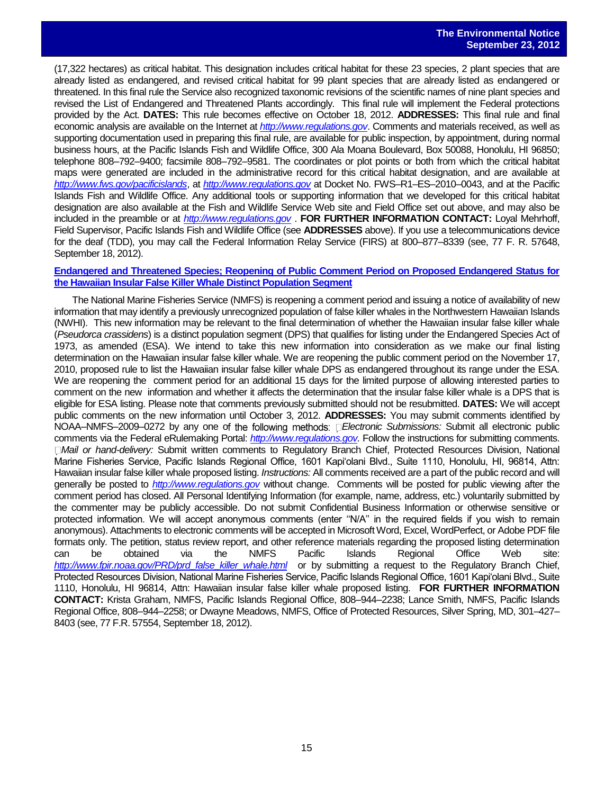(17,322 hectares) as critical habitat. This designation includes critical habitat for these 23 species, 2 plant species that are already listed as endangered, and revised critical habitat for 99 plant species that are already listed as endangered or threatened. In this final rule the Service also recognized taxonomic revisions of the scientific names of nine plant species and revised the List of Endangered and Threatened Plants accordingly. This final rule will implement the Federal protections provided by the Act. **DATES:** This rule becomes effective on October 18, 2012. **ADDRESSES:** This final rule and final economic analysis are available on the Internet at *[http://www.regulations.gov](http://www.regulations.gov/)*. Comments and materials received, as well as supporting documentation used in preparing this final rule, are available for public inspection, by appointment, during normal business hours, at the Pacific Islands Fish and Wildlife Office, 300 Ala Moana Boulevard, Box 50088, Honolulu, HI 96850; telephone 808–792–9400; facsimile 808–792–9581. The coordinates or plot points or both from which the critical habitat maps were generated are included in the administrative record for this critical habitat designation, and are available at *<http://www.fws.gov/pacificislands>*, at *[http://www.regulations.gov](http://www.regulations.gov/)* at Docket No. FWS–R1–ES–2010–0043, and at the Pacific Islands Fish and Wildlife Office. Any additional tools or supporting information that we developed for this critical habitat designation are also available at the Fish and Wildlife Service Web site and Field Office set out above, and may also be included in the preamble or at *[http://www.regulations.gov](http://www.regulations.gov/)* . **FOR FURTHER INFORMATION CONTACT:** Loyal Mehrhoff, Field Supervisor, Pacific Islands Fish and Wildlife Office (see **ADDRESSES** above). If you use a telecommunications device for the deaf (TDD), you may call the Federal Information Relay Service (FIRS) at 800–877–8339 (see, 77 F. R. 57648, September 18, 2012).

### **[Endangered and Threatened Species; Reopening of Public Comment Period on Proposed Endangered Status for](http://www.gpo.gov/fdsys/pkg/FR-2012-09-18/pdf/2012-23001.pdf)  [the Hawaiian Insular False Killer Whale Distinct Population Segment](http://www.gpo.gov/fdsys/pkg/FR-2012-09-18/pdf/2012-23001.pdf)**

The National Marine Fisheries Service (NMFS) is reopening a comment period and issuing a notice of availability of new information that may identify a previously unrecognized population of false killer whales in the Northwestern Hawaiian Islands (NWHI). This new information may be relevant to the final determination of whether the Hawaiian insular false killer whale (*Pseudorca crassidens*) is a distinct population segment (DPS) that qualifies for listing under the Endangered Species Act of 1973, as amended (ESA). We intend to take this new information into consideration as we make our final listing determination on the Hawaiian insular false killer whale. We are reopening the public comment period on the November 17, 2010, proposed rule to list the Hawaiian insular false killer whale DPS as endangered throughout its range under the ESA. We are reopening the comment period for an additional 15 days for the limited purpose of allowing interested parties to comment on the new information and whether it affects the determination that the insular false killer whale is a DPS that is eligible for ESA listing. Please note that comments previously submitted should not be resubmitted. **DATES:** We will accept public comments on the new information until October 3, 2012. **ADDRESSES:** You may submit comments identified by NOAA–NMFS–2009–0272 by any one of the following methods: **Electronic Submissions:** Submit all electronic public comments via the Federal eRulemaking Portal: *[http://www.regulations.gov.](http://www.regulations.gov/)* Follow the instructions for submitting comments. *Mail or hand-delivery:* Submit written comments to Regulatory Branch Chief, Protected Resources Division, National Marine Fisheries Service, Pacific Islands Regional Office, 1601 Kapi'olani Blvd., Suite 1110, Honolulu, HI, 96814, Attn: Hawaiian insular false killer whale proposed listing. *Instructions:* All comments received are a part of the public record and will generally be posted to *[http://www.regulations.gov](http://www.regulations.gov/)* without change. Comments will be posted for public viewing after the comment period has closed. All Personal Identifying Information (for example, name, address, etc.) voluntarily submitted by the commenter may be publicly accessible. Do not submit Confidential Business Information or otherwise sensitive or protected information. We will accept anonymous comments (enter ''N/A'' in the required fields if you wish to remain anonymous). Attachments to electronic comments will be accepted in Microsoft Word, Excel, WordPerfect, or Adobe PDF file formats only. The petition, status review report, and other reference materials regarding the proposed listing determination can be obtained via the NMFS Pacific Islands Regional Office Web site: *[http://www.fpir.noaa.gov/PRD/prd\\_false\\_killer\\_whale.html](http://www.fpir.noaa.gov/PRD/prd_false_killer_whale.html)* or by submitting a request to the Regulatory Branch Chief, Protected Resources Division, National Marine Fisheries Service, Pacific Islands Regional Office, 1601 Kapi'olani Blvd., Suite 1110, Honolulu, HI 96814, Attn: Hawaiian insular false killer whale proposed listing. **FOR FURTHER INFORMATION CONTACT:** Krista Graham, NMFS, Pacific Islands Regional Office, 808–944–2238; Lance Smith, NMFS, Pacific Islands Regional Office, 808–944–2258; or Dwayne Meadows, NMFS, Office of Protected Resources, Silver Spring, MD, 301–427– 8403 (see, 77 F.R. 57554, September 18, 2012).